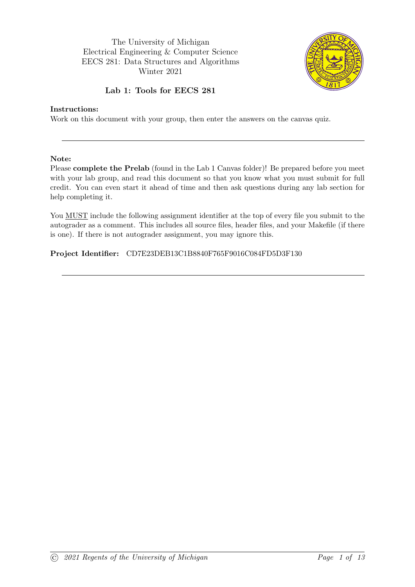The University of Michigan Electrical Engineering & Computer Science EECS 281: Data Structures and Algorithms Winter 2021



### Lab 1: Tools for EECS 281

#### Instructions:

Work on this document with your group, then enter the answers on the canvas quiz.

#### Note:

Please complete the Prelab (found in the Lab 1 Canvas folder)! Be prepared before you meet with your lab group, and read this document so that you know what you must submit for full credit. You can even start it ahead of time and then ask questions during any lab section for help completing it.

You MUST include the following assignment identifier at the top of every file you submit to the autograder as a comment. This includes all source files, header files, and your Makefile (if there is one). If there is not autograder assignment, you may ignore this.

### Project Identifier: CD7E23DEB13C1B8840F765F9016C084FD5D3F130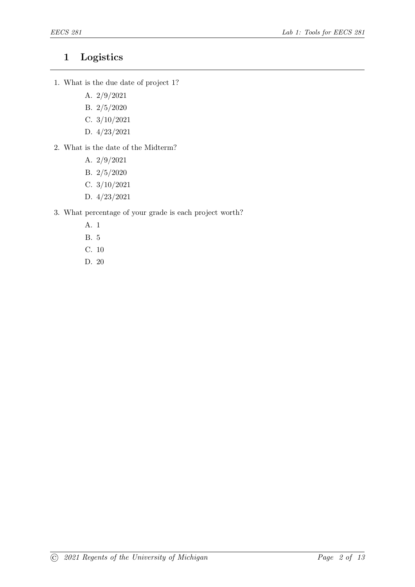### 1 Logistics

- 1. What is the due date of project 1?
	- A. 2/9/2021
	- B. 2/5/2020
	- C. 3/10/2021
	- D. 4/23/2021
- 2. What is the date of the Midterm?
	- A. 2/9/2021
	- B. 2/5/2020
	- C. 3/10/2021
	- D. 4/23/2021
- 3. What percentage of your grade is each project worth?
	- A. 1
	- B. 5
	- C. 10
	- D. 20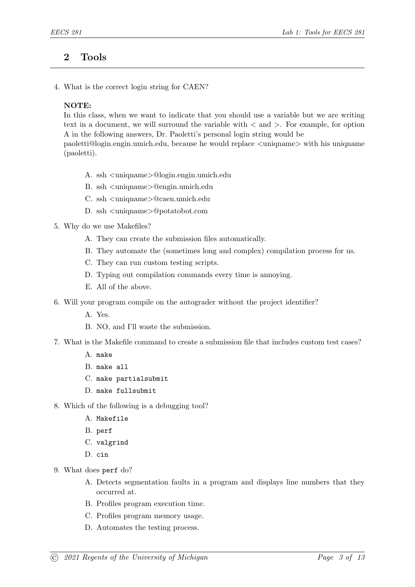### 2 Tools

4. What is the correct login string for CAEN?

#### NOTE:

In this class, when we want to indicate that you should use a variable but we are writing text in a document, we will surround the variable with < and >. For example, for option A in the following answers, Dr. Paoletti's personal login string would be

paoletti@login.engin.umich.edu, because he would replace <uniqname> with his uniqname (paoletti).

- A. ssh <uniqname>@login.engin.umich.edu
- B. ssh <uniqname>@engin.umich.edu
- C. ssh <uniqname>@caen.umich.edu
- D. ssh <uniqname>@potatobot.com
- 5. Why do we use Makefiles?
	- A. They can create the submission files automatically.
	- B. They automate the (sometimes long and complex) compilation process for us.
	- C. They can run custom testing scripts.
	- D. Typing out compilation commands every time is annoying.
	- E. All of the above.
- 6. Will your program compile on the autograder without the project identifier?
	- A. Yes.
	- B. NO, and I'll waste the submission.
- 7. What is the Makefile command to create a submission file that includes custom test cases?
	- A. make
	- B. make all
	- C. make partialsubmit
	- D. make fullsubmit
- 8. Which of the following is a debugging tool?
	- A. Makefile
	- B. perf
	- C. valgrind
	- D. cin
- 9. What does perf do?
	- A. Detects segmentation faults in a program and displays line numbers that they occurred at.
	- B. Profiles program execution time.
	- C. Profiles program memory usage.
	- D. Automates the testing process.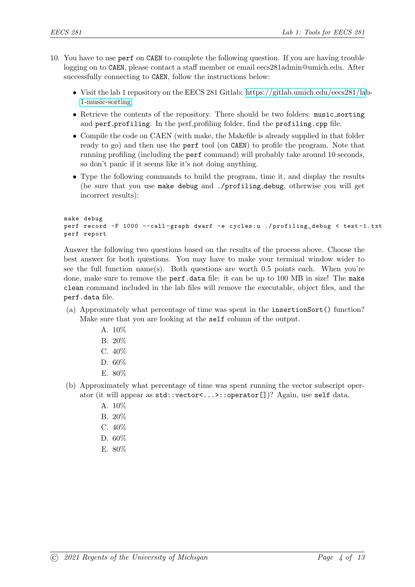- 10. You have to use perf on CAEN to complete the following question. If you are having trouble logging on to CAEN, please contact a staff member or email eecs281admin@umich.edu. After successfully connecting to CAEN, follow the instructions below:
	- Visit the lab 1 repository on the EECS 281 Gitlab: [https://gitlab.umich.edu/eecs281/la](https://gitlab.umich.edu/eecs281/lab-1-music-sorting)b-[1-music-sorting.](https://gitlab.umich.edu/eecs281/lab-1-music-sorting)
	- Retrieve the contents of the repository. There should be two folders: music\_sorting and perf profiling. In the perf profiling folder, find the profiling.cpp file.
	- Compile the code on CAEN (with make, the Makefile is already supplied in that folder ready to go) and then use the perf tool (on CAEN) to profile the program. Note that running profiling (including the perf command) will probably take around 10 seconds, so don't panic if it seems like it's not doing anything.
	- Type the following commands to build the program, time it, and display the results (be sure that you use make debug and ./profiling debug, otherwise you will get incorrect results):

```
make debug
perf record -F 1000 --call-graph dwarf -e cycles:u ./profiling_debug < test-1.txt
perf report
```
Answer the following two questions based on the results of the process above. Choose the best answer for both questions. You may have to make your terminal window wider to see the full function name(s). Both questions are worth 0.5 points each. When you're done, make sure to remove the perf.data file: it can be up to 100 MB in size! The make clean command included in the lab files will remove the executable, object files, and the perf.data file.

- (a) Approximately what percentage of time was spent in the insertionSort() function? Make sure that you are looking at the self column of the output.
	- A. 10%
	- B. 20%
	- C. 40%
	- D. 60%
	- E. 80%
- (b) Approximately what percentage of time was spent running the vector subscript operator (it will appear as std::vector<...>::operator[])? Again, use self data.
	- A. 10%
	- B. 20%
	- C. 40%
	- D. 60%
	- E. 80%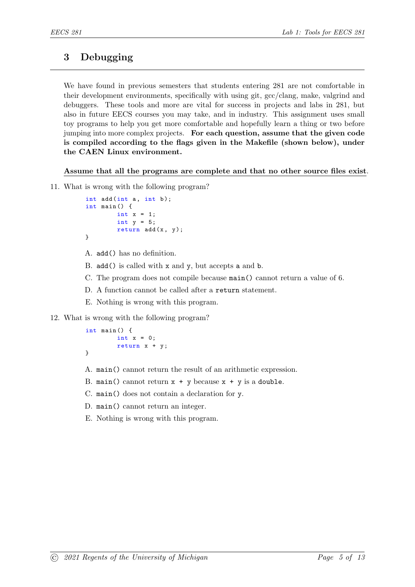# 3 Debugging

We have found in previous semesters that students entering 281 are not comfortable in their development environments, specifically with using git, gcc/clang, make, valgrind and debuggers. These tools and more are vital for success in projects and labs in 281, but also in future EECS courses you may take, and in industry. This assignment uses small toy programs to help you get more comfortable and hopefully learn a thing or two before jumping into more complex projects. For each question, assume that the given code is compiled according to the flags given in the Makefile (shown below), under the CAEN Linux environment.

Assume that all the programs are complete and that no other source files exist.

```
int add(int a, int b);int main () {
        int x = 1;
        int y = 5;
        return add(x, y);
}
```
- A. add() has no definition.
- B. add() is called with x and y, but accepts a and b.
- C. The program does not compile because main() cannot return a value of 6.
- D. A function cannot be called after a return statement.
- E. Nothing is wrong with this program.
- 12. What is wrong with the following program?

```
int main () {
         int x = 0;
         return x + y ;
}
```
- A. main() cannot return the result of an arithmetic expression.
- B. main() cannot return  $x + y$  because  $x + y$  is a double.
- C. main() does not contain a declaration for y.
- D. main() cannot return an integer.
- E. Nothing is wrong with this program.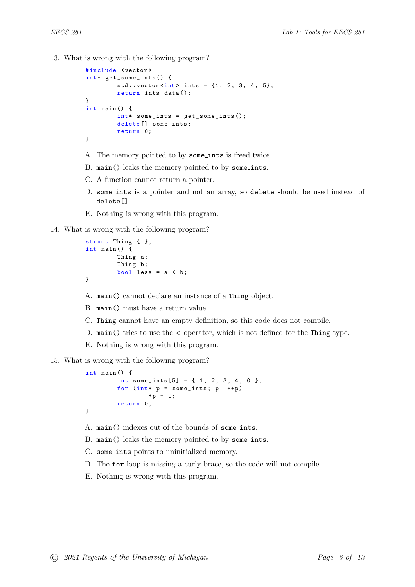13. What is wrong with the following program?

```
# include < vector >
int* get_some_ints () {
         std::vector<i>int</i> > ints = {1, 2, 3, 4, 5};return ints . data ();
}
int main () {
         int* some_ints = get_some_ints();
         delete [] some_ints;
         return 0;
}
```
- A. The memory pointed to by some ints is freed twice.
- B. main() leaks the memory pointed to by some ints.
- C. A function cannot return a pointer.
- D. some ints is a pointer and not an array, so delete should be used instead of delete[].
- E. Nothing is wrong with this program.
- 14. What is wrong with the following program?

```
struct Thing { };
int main () {
        Thing a;
        Thing b;
        bool less = a < b;
}
```
A. main() cannot declare an instance of a Thing object.

- B. main() must have a return value.
- C. Thing cannot have an empty definition, so this code does not compile.
- D. main() tries to use the  $\lt$  operator, which is not defined for the Thing type.
- E. Nothing is wrong with this program.

```
int main () {
        int some_ints [5] = \{ 1, 2, 3, 4, 0 \};for (int* p = some\_ints; p; ++p)
                 * p = 0;return 0;
}
```
- A. main() indexes out of the bounds of some ints.
- B. main() leaks the memory pointed to by some ints.
- C. some ints points to uninitialized memory.
- D. The for loop is missing a curly brace, so the code will not compile.
- E. Nothing is wrong with this program.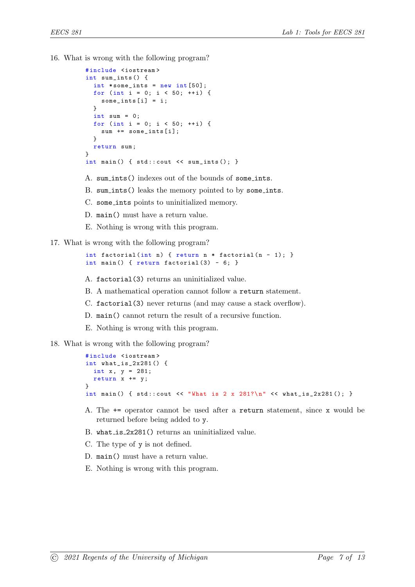```
# include < iostream >
int sum_ints () {
  int * some_ints = new int [50];
  for (int i = 0; i < 50; ++i) {
    some_{{\text{int}}s[i]} = i;}
  int sum = 0;
  for (int i = 0; i < 50; ++i) {
    sum += some_{{\texttt{ints}}}[i];}
  return sum ;
}
int main () { std::count << sum\_ints(); }
```
- A. sum ints() indexes out of the bounds of some ints.
- B. sum ints() leaks the memory pointed to by some ints.
- C. some ints points to uninitialized memory.
- D. main() must have a return value.
- E. Nothing is wrong with this program.
- 17. What is wrong with the following program?

```
int factorial (int n) { return n * factorial (n - 1); }
int main () { return factorial (3) - 6; }
```
- A. factorial(3) returns an uninitialized value.
- B. A mathematical operation cannot follow a return statement.
- C. factorial(3) never returns (and may cause a stack overflow).
- D. main() cannot return the result of a recursive function.
- E. Nothing is wrong with this program.
- 18. What is wrong with the following program?

```
# include < iostream >
int what_is_2x281 () {
  int x, y = 281;
  return x += y;
}
int main () { std::count \leq "What is 2 x 281?\n" << what_is_2x281(); }
```
- A. The += operator cannot be used after a return statement, since x would be returned before being added to y.
- B. what is 2x281() returns an uninitialized value.
- C. The type of y is not defined.
- D. main() must have a return value.
- E. Nothing is wrong with this program.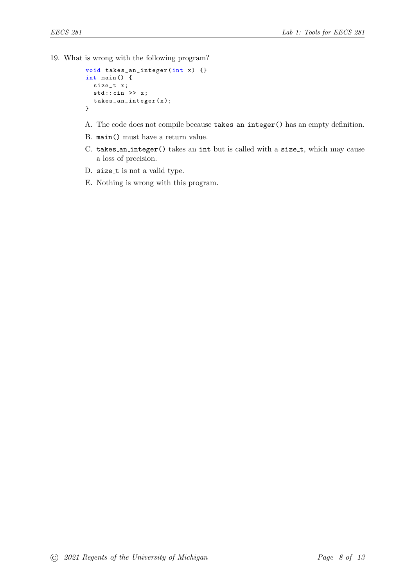```
void takes_an_integer (int x) {}
int main () {
  size_t x ;
  std::cin \rightarrow x;takes_an_integer ( x );
}
```
- A. The code does not compile because takes an integer() has an empty definition.
- B. main() must have a return value.
- C. takes an integer() takes an int but is called with a size\_t, which may cause a loss of precision.
- D. size\_t is not a valid type.
- E. Nothing is wrong with this program.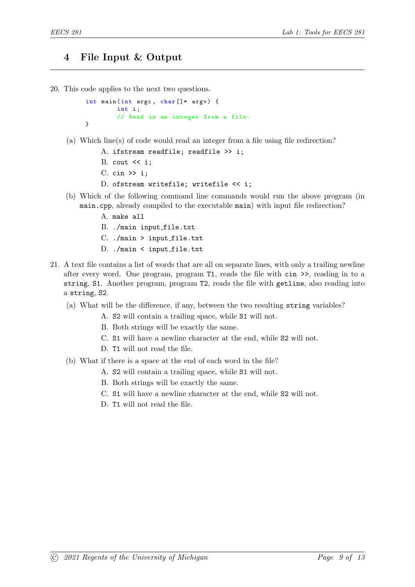### 4 File Input & Output

20. This code applies to the next two questions.

```
int main (int argc, char []* argv) {
        int i;
        // Read in an integer from a file .
}
```
- (a) Which line(s) of code would read an integer from a file using file redirection?
	- A. ifstream readfile; readfile >> i;
	- B. cout  $\leq i$ ;
	- $C.$  cin  $\gg$  i;
	- D. ofstream writefile; writefile << i;
- (b) Which of the following command line commands would run the above program (in main.cpp, already compiled to the executable main) with input file redirection?
	- A. make all
	- B. ./main input file.txt
	- $C.$  ./main > input\_file.txt
	- D. ./main < input\_file.txt
- 21. A text file contains a list of words that are all on separate lines, with only a trailing newline after every word. One program, program T1, reads the file with cin >>, reading in to a string, S1. Another program, program T2, reads the file with getline, also reading into a string, S2.
	- (a) What will be the difference, if any, between the two resulting string variables?
		- A. S2 will contain a trailing space, while S1 will not.
		- B. Both strings will be exactly the same.
		- C. S1 will have a newline character at the end, while S2 will not.
		- D. T1 will not read the file.
	- (b) What if there is a space at the end of each word in the file?
		- A. S2 will contain a trailing space, while S1 will not.
		- B. Both strings will be exactly the same.
		- C. S1 will have a newline character at the end, while S2 will not.
		- D. T1 will not read the file.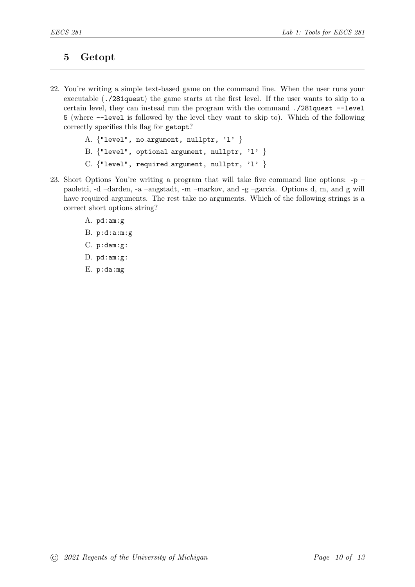## 5 Getopt

- 22. You're writing a simple text-based game on the command line. When the user runs your executable (./281quest) the game starts at the first level. If the user wants to skip to a certain level, they can instead run the program with the command ./281quest --level 5 (where --level is followed by the level they want to skip to). Which of the following correctly specifies this flag for getopt?
	- A. {"level", no\_argument, nullptr, 'l' }
	- B. {"level", optional argument, nullptr, 'l' }
	- C.  $\{$ "level", required\_argument, nullptr, 'l'  $\}$
- 23. Short Options You're writing a program that will take five command line options: -p paoletti, -d –darden, -a –angstadt, -m –markov, and -g –garcia. Options d, m, and g will have required arguments. The rest take no arguments. Which of the following strings is a correct short options string?
	- A. pd:am:g
	- B. p:d:a:m:g
	- C. p:dam:g:
	- D. pd:am:g:
	- E. p:da:mg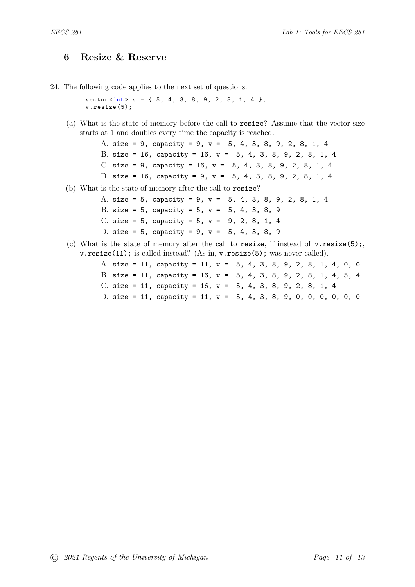### 6 Resize & Reserve

24. The following code applies to the next set of questions.

 $vector\langle int \rangle$   $v = \{ 5, 4, 3, 8, 9, 2, 8, 1, 4 \}$ ; v . resize (5);

(a) What is the state of memory before the call to resize? Assume that the vector size starts at 1 and doubles every time the capacity is reached.

> A. size = 9, capacity = 9, v = 5, 4, 3, 8, 9, 2, 8, 1, 4 B. size = 16, capacity = 16, v = 5, 4, 3, 8, 9, 2, 8, 1, 4 C. size = 9, capacity = 16, v = 5, 4, 3, 8, 9, 2, 8, 1, 4 D. size = 16, capacity = 9, v = 5, 4, 3, 8, 9, 2, 8, 1, 4

(b) What is the state of memory after the call to resize?

A. size = 5, capacity = 9, v = 5, 4, 3, 8, 9, 2, 8, 1, 4 B. size = 5, capacity = 5,  $v = 5$ , 4, 3, 8, 9 C. size = 5, capacity = 5,  $v = 9$ , 2, 8, 1, 4 D. size = 5, capacity = 9,  $v = 5$ , 4, 3, 8, 9

(c) What is the state of memory after the call to resize, if instead of  $v$ .resize(5); v.resize(11); is called instead? (As in, v.resize(5); was never called).

> A. size = 11, capacity = 11, v = 5, 4, 3, 8, 9, 2, 8, 1, 4, 0, 0 B. size = 11, capacity = 16, v = 5, 4, 3, 8, 9, 2, 8, 1, 4, 5, 4 C. size = 11, capacity = 16, v = 5, 4, 3, 8, 9, 2, 8, 1, 4 D. size = 11, capacity = 11, v = 5, 4, 3, 8, 9, 0, 0, 0, 0, 0, 0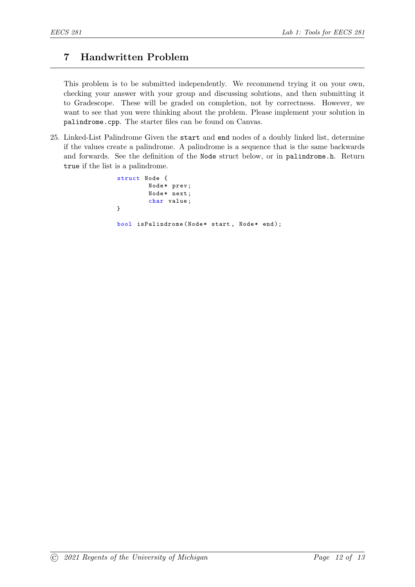# 7 Handwritten Problem

This problem is to be submitted independently. We recommend trying it on your own, checking your answer with your group and discussing solutions, and then submitting it to Gradescope. These will be graded on completion, not by correctness. However, we want to see that you were thinking about the problem. Please implement your solution in palindrome.cpp. The starter files can be found on Canvas.

25. Linked-List Palindrome Given the start and end nodes of a doubly linked list, determine if the values create a palindrome. A palindrome is a sequence that is the same backwards and forwards. See the definition of the Node struct below, or in palindrome.h. Return true if the list is a palindrome.

```
struct Node {
        Node* prev;
        Node* next;
        char value ;
}
bool isPalindrome (Node* start, Node* end);
```